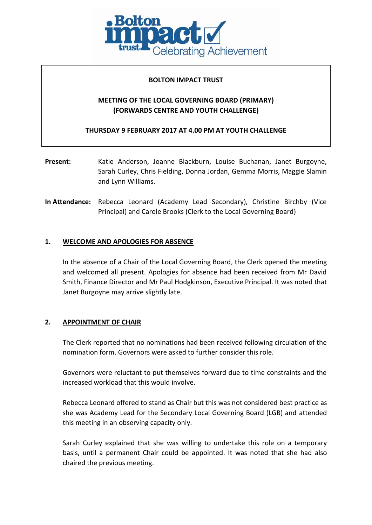

### **BOLTON IMPACT TRUST**

# **MEETING OF THE LOCAL GOVERNING BOARD (PRIMARY) (FORWARDS CENTRE AND YOUTH CHALLENGE)**

**THURSDAY 9 FEBRUARY 2017 AT 4.00 PM AT YOUTH CHALLENGE**

- **Present:** Katie Anderson, Joanne Blackburn, Louise Buchanan, Janet Burgoyne, Sarah Curley, Chris Fielding, Donna Jordan, Gemma Morris, Maggie Slamin and Lynn Williams.
- **In Attendance:** Rebecca Leonard (Academy Lead Secondary), Christine Birchby (Vice Principal) and Carole Brooks (Clerk to the Local Governing Board)

### **1. WELCOME AND APOLOGIES FOR ABSENCE**

In the absence of a Chair of the Local Governing Board, the Clerk opened the meeting and welcomed all present. Apologies for absence had been received from Mr David Smith, Finance Director and Mr Paul Hodgkinson, Executive Principal. It was noted that Janet Burgoyne may arrive slightly late.

# **2. APPOINTMENT OF CHAIR**

The Clerk reported that no nominations had been received following circulation of the nomination form. Governors were asked to further consider this role.

Governors were reluctant to put themselves forward due to time constraints and the increased workload that this would involve.

Rebecca Leonard offered to stand as Chair but this was not considered best practice as she was Academy Lead for the Secondary Local Governing Board (LGB) and attended this meeting in an observing capacity only.

Sarah Curley explained that she was willing to undertake this role on a temporary basis, until a permanent Chair could be appointed. It was noted that she had also chaired the previous meeting.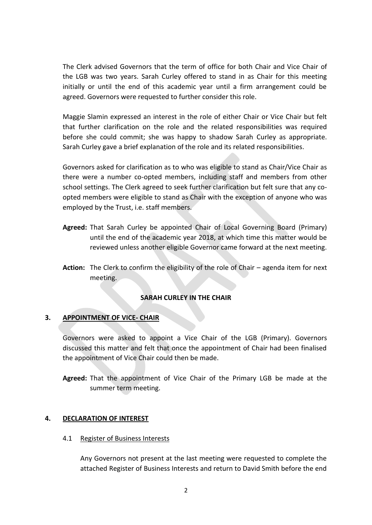The Clerk advised Governors that the term of office for both Chair and Vice Chair of the LGB was two years. Sarah Curley offered to stand in as Chair for this meeting initially or until the end of this academic year until a firm arrangement could be agreed. Governors were requested to further consider this role.

Maggie Slamin expressed an interest in the role of either Chair or Vice Chair but felt that further clarification on the role and the related responsibilities was required before she could commit; she was happy to shadow Sarah Curley as appropriate. Sarah Curley gave a brief explanation of the role and its related responsibilities.

Governors asked for clarification as to who was eligible to stand as Chair/Vice Chair as there were a number co-opted members, including staff and members from other school settings. The Clerk agreed to seek further clarification but felt sure that any coopted members were eligible to stand as Chair with the exception of anyone who was employed by the Trust, i.e. staff members.

- **Agreed:** That Sarah Curley be appointed Chair of Local Governing Board (Primary) until the end of the academic year 2018, at which time this matter would be reviewed unless another eligible Governor came forward at the next meeting.
- **Action:** The Clerk to confirm the eligibility of the role of Chair agenda item for next meeting.

# **SARAH CURLEY IN THE CHAIR**

### **3. APPOINTMENT OF VICE- CHAIR**

Governors were asked to appoint a Vice Chair of the LGB (Primary). Governors discussed this matter and felt that once the appointment of Chair had been finalised the appointment of Vice Chair could then be made.

**Agreed:** That the appointment of Vice Chair of the Primary LGB be made at the summer term meeting.

### **4. DECLARATION OF INTEREST**

### 4.1 Register of Business Interests

Any Governors not present at the last meeting were requested to complete the attached Register of Business Interests and return to David Smith before the end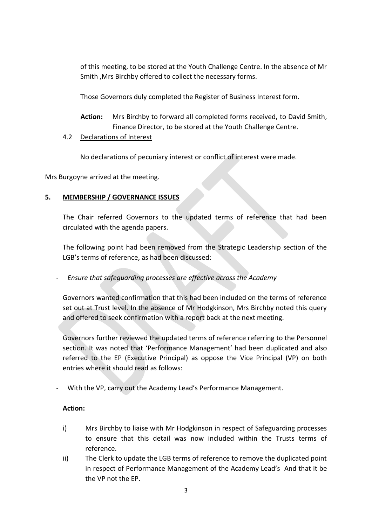of this meeting, to be stored at the Youth Challenge Centre. In the absence of Mr Smith ,Mrs Birchby offered to collect the necessary forms.

Those Governors duly completed the Register of Business Interest form.

**Action:** Mrs Birchby to forward all completed forms received, to David Smith, Finance Director, to be stored at the Youth Challenge Centre.

# 4.2 Declarations of Interest

No declarations of pecuniary interest or conflict of interest were made.

Mrs Burgoyne arrived at the meeting.

# **5. MEMBERSHIP / GOVERNANCE ISSUES**

The Chair referred Governors to the updated terms of reference that had been circulated with the agenda papers.

The following point had been removed from the Strategic Leadership section of the LGB's terms of reference, as had been discussed:

- *Ensure that safeguarding processes are effective across the Academy*

Governors wanted confirmation that this had been included on the terms of reference set out at Trust level. In the absence of Mr Hodgkinson, Mrs Birchby noted this query and offered to seek confirmation with a report back at the next meeting.

Governors further reviewed the updated terms of reference referring to the Personnel section. It was noted that 'Performance Management' had been duplicated and also referred to the EP (Executive Principal) as oppose the Vice Principal (VP) on both entries where it should read as follows:

- With the VP, carry out the Academy Lead's Performance Management.

### **Action:**

- i) Mrs Birchby to liaise with Mr Hodgkinson in respect of Safeguarding processes to ensure that this detail was now included within the Trusts terms of reference.
- ii) The Clerk to update the LGB terms of reference to remove the duplicated point in respect of Performance Management of the Academy Lead's And that it be the VP not the EP.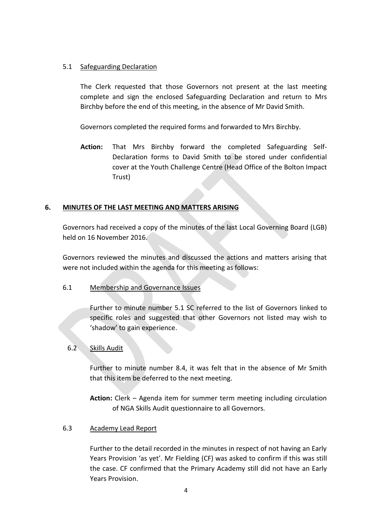### 5.1 Safeguarding Declaration

The Clerk requested that those Governors not present at the last meeting complete and sign the enclosed Safeguarding Declaration and return to Mrs Birchby before the end of this meeting, in the absence of Mr David Smith.

Governors completed the required forms and forwarded to Mrs Birchby.

**Action:** That Mrs Birchby forward the completed Safeguarding Self-Declaration forms to David Smith to be stored under confidential cover at the Youth Challenge Centre (Head Office of the Bolton Impact Trust)

### **6. MINUTES OF THE LAST MEETING AND MATTERS ARISING**

Governors had received a copy of the minutes of the last Local Governing Board (LGB) held on 16 November 2016.

Governors reviewed the minutes and discussed the actions and matters arising that were not included within the agenda for this meeting as follows:

### 6.1 Membership and Governance Issues

Further to minute number 5.1 SC referred to the list of Governors linked to specific roles and suggested that other Governors not listed may wish to 'shadow' to gain experience.

# 6.2 Skills Audit

Further to minute number 8.4, it was felt that in the absence of Mr Smith that this item be deferred to the next meeting.

**Action:** Clerk – Agenda item for summer term meeting including circulation of NGA Skills Audit questionnaire to all Governors.

### 6.3 Academy Lead Report

Further to the detail recorded in the minutes in respect of not having an Early Years Provision 'as yet'. Mr Fielding (CF) was asked to confirm if this was still the case. CF confirmed that the Primary Academy still did not have an Early Years Provision.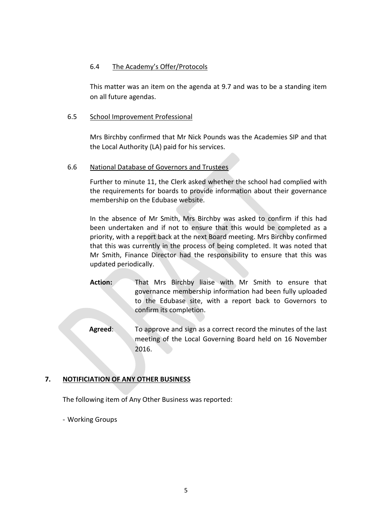### 6.4 The Academy's Offer/Protocols

This matter was an item on the agenda at 9.7 and was to be a standing item on all future agendas.

### 6.5 School Improvement Professional

Mrs Birchby confirmed that Mr Nick Pounds was the Academies SIP and that the Local Authority (LA) paid for his services.

### 6.6 National Database of Governors and Trustees

Further to minute 11, the Clerk asked whether the school had complied with the requirements for boards to provide information about their governance membership on the Edubase website.

In the absence of Mr Smith, Mrs Birchby was asked to confirm if this had been undertaken and if not to ensure that this would be completed as a priority, with a report back at the next Board meeting. Mrs Birchby confirmed that this was currently in the process of being completed. It was noted that Mr Smith, Finance Director had the responsibility to ensure that this was updated periodically.

- **Action:** That Mrs Birchby liaise with Mr Smith to ensure that governance membership information had been fully uploaded to the Edubase site, with a report back to Governors to confirm its completion.
- **Agreed**: To approve and sign as a correct record the minutes of the last meeting of the Local Governing Board held on 16 November 2016.

# **7. NOTIFICIATION OF ANY OTHER BUSINESS**

The following item of Any Other Business was reported:

- Working Groups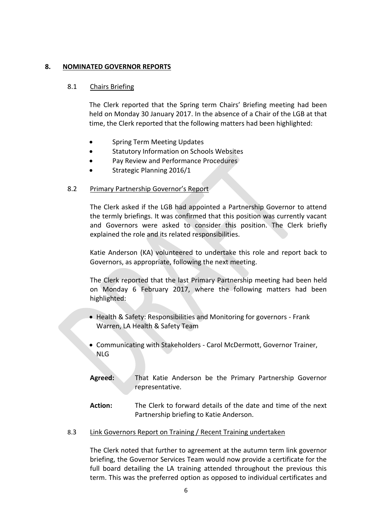### **8. NOMINATED GOVERNOR REPORTS**

### 8.1 Chairs Briefing

The Clerk reported that the Spring term Chairs' Briefing meeting had been held on Monday 30 January 2017. In the absence of a Chair of the LGB at that time, the Clerk reported that the following matters had been highlighted:

- **•** Spring Term Meeting Updates
- **•** Statutory Information on Schools Websites
- Pay Review and Performance Procedures
- Strategic Planning 2016/1

### 8.2 Primary Partnership Governor's Report

The Clerk asked if the LGB had appointed a Partnership Governor to attend the termly briefings. It was confirmed that this position was currently vacant and Governors were asked to consider this position. The Clerk briefly explained the role and its related responsibilities.

Katie Anderson (KA) volunteered to undertake this role and report back to Governors, as appropriate, following the next meeting.

The Clerk reported that the last Primary Partnership meeting had been held on Monday 6 February 2017, where the following matters had been highlighted:

- Health & Safety: Responsibilities and Monitoring for governors Frank Warren, LA Health & Safety Team
- Communicating with Stakeholders Carol McDermott, Governor Trainer, NLG
- **Agreed:** That Katie Anderson be the Primary Partnership Governor representative.
- **Action:** The Clerk to forward details of the date and time of the next Partnership briefing to Katie Anderson.

### 8.3 Link Governors Report on Training / Recent Training undertaken

The Clerk noted that further to agreement at the autumn term link governor briefing, the Governor Services Team would now provide a certificate for the full board detailing the LA training attended throughout the previous this term. This was the preferred option as opposed to individual certificates and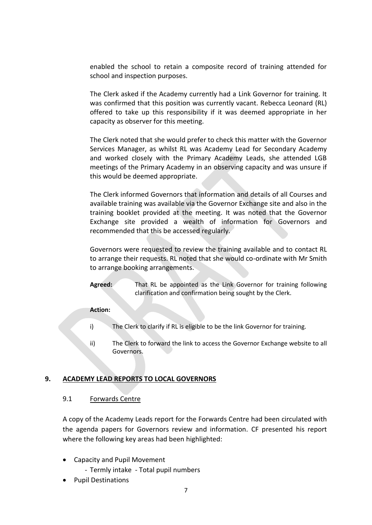enabled the school to retain a composite record of training attended for school and inspection purposes.

The Clerk asked if the Academy currently had a Link Governor for training. It was confirmed that this position was currently vacant. Rebecca Leonard (RL) offered to take up this responsibility if it was deemed appropriate in her capacity as observer for this meeting.

The Clerk noted that she would prefer to check this matter with the Governor Services Manager, as whilst RL was Academy Lead for Secondary Academy and worked closely with the Primary Academy Leads, she attended LGB meetings of the Primary Academy in an observing capacity and was unsure if this would be deemed appropriate.

The Clerk informed Governors that information and details of all Courses and available training was available via the Governor Exchange site and also in the training booklet provided at the meeting. It was noted that the Governor Exchange site provided a wealth of information for Governors and recommended that this be accessed regularly.

Governors were requested to review the training available and to contact RL to arrange their requests. RL noted that she would co-ordinate with Mr Smith to arrange booking arrangements.

**Agreed:** That RL be appointed as the Link Governor for training following clarification and confirmation being sought by the Clerk.

### **Action:**

- i) The Clerk to clarify if RL is eligible to be the link Governor for training.
- ii) The Clerk to forward the link to access the Governor Exchange website to all Governors.

# **9. ACADEMY LEAD REPORTS TO LOCAL GOVERNORS**

### 9.1 Forwards Centre

A copy of the Academy Leads report for the Forwards Centre had been circulated with the agenda papers for Governors review and information. CF presented his report where the following key areas had been highlighted:

- Capacity and Pupil Movement
	- Termly intake Total pupil numbers
- Pupil Destinations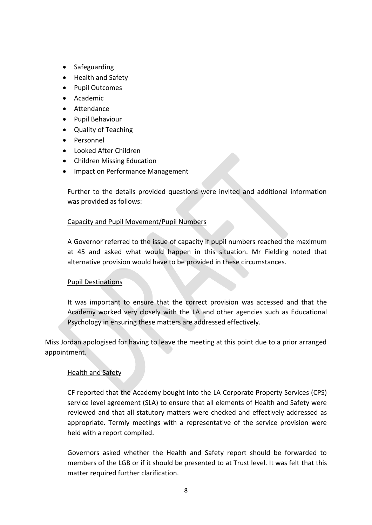- Safeguarding
- Health and Safety
- Pupil Outcomes
- Academic
- Attendance
- Pupil Behaviour
- Quality of Teaching
- Personnel
- Looked After Children
- Children Missing Education
- Impact on Performance Management

Further to the details provided questions were invited and additional information was provided as follows:

# Capacity and Pupil Movement/Pupil Numbers

A Governor referred to the issue of capacity if pupil numbers reached the maximum at 45 and asked what would happen in this situation. Mr Fielding noted that alternative provision would have to be provided in these circumstances.

# Pupil Destinations

It was important to ensure that the correct provision was accessed and that the Academy worked very closely with the LA and other agencies such as Educational Psychology in ensuring these matters are addressed effectively.

Miss Jordan apologised for having to leave the meeting at this point due to a prior arranged appointment.

# Health and Safety

CF reported that the Academy bought into the LA Corporate Property Services (CPS) service level agreement (SLA) to ensure that all elements of Health and Safety were reviewed and that all statutory matters were checked and effectively addressed as appropriate. Termly meetings with a representative of the service provision were held with a report compiled.

Governors asked whether the Health and Safety report should be forwarded to members of the LGB or if it should be presented to at Trust level. It was felt that this matter required further clarification.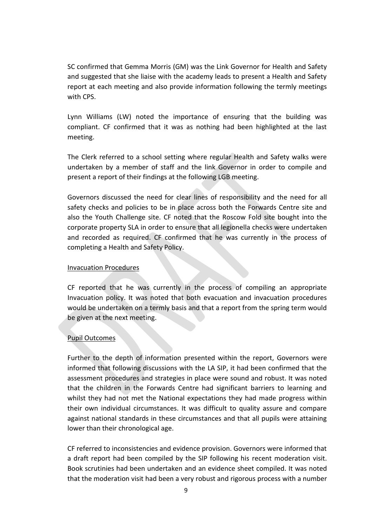SC confirmed that Gemma Morris (GM) was the Link Governor for Health and Safety and suggested that she liaise with the academy leads to present a Health and Safety report at each meeting and also provide information following the termly meetings with CPS.

Lynn Williams (LW) noted the importance of ensuring that the building was compliant. CF confirmed that it was as nothing had been highlighted at the last meeting.

The Clerk referred to a school setting where regular Health and Safety walks were undertaken by a member of staff and the link Governor in order to compile and present a report of their findings at the following LGB meeting.

Governors discussed the need for clear lines of responsibility and the need for all safety checks and policies to be in place across both the Forwards Centre site and also the Youth Challenge site. CF noted that the Roscow Fold site bought into the corporate property SLA in order to ensure that all legionella checks were undertaken and recorded as required. CF confirmed that he was currently in the process of completing a Health and Safety Policy.

### Invacuation Procedures

CF reported that he was currently in the process of compiling an appropriate Invacuation policy. It was noted that both evacuation and invacuation procedures would be undertaken on a termly basis and that a report from the spring term would be given at the next meeting.

# Pupil Outcomes

Further to the depth of information presented within the report, Governors were informed that following discussions with the LA SIP, it had been confirmed that the assessment procedures and strategies in place were sound and robust. It was noted that the children in the Forwards Centre had significant barriers to learning and whilst they had not met the National expectations they had made progress within their own individual circumstances. It was difficult to quality assure and compare against national standards in these circumstances and that all pupils were attaining lower than their chronological age.

CF referred to inconsistencies and evidence provision. Governors were informed that a draft report had been compiled by the SIP following his recent moderation visit. Book scrutinies had been undertaken and an evidence sheet compiled. It was noted that the moderation visit had been a very robust and rigorous process with a number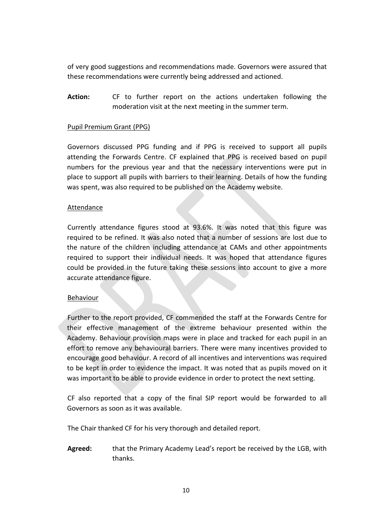of very good suggestions and recommendations made. Governors were assured that these recommendations were currently being addressed and actioned.

**Action:** CF to further report on the actions undertaken following the moderation visit at the next meeting in the summer term.

#### Pupil Premium Grant (PPG)

Governors discussed PPG funding and if PPG is received to support all pupils attending the Forwards Centre. CF explained that PPG is received based on pupil numbers for the previous year and that the necessary interventions were put in place to support all pupils with barriers to their learning. Details of how the funding was spent, was also required to be published on the Academy website.

#### **Attendance**

Currently attendance figures stood at 93.6%. It was noted that this figure was required to be refined. It was also noted that a number of sessions are lost due to the nature of the children including attendance at CAMs and other appointments required to support their individual needs. It was hoped that attendance figures could be provided in the future taking these sessions into account to give a more accurate attendance figure.

### Behaviour

Further to the report provided, CF commended the staff at the Forwards Centre for their effective management of the extreme behaviour presented within the Academy. Behaviour provision maps were in place and tracked for each pupil in an effort to remove any behavioural barriers. There were many incentives provided to encourage good behaviour. A record of all incentives and interventions was required to be kept in order to evidence the impact. It was noted that as pupils moved on it was important to be able to provide evidence in order to protect the next setting.

CF also reported that a copy of the final SIP report would be forwarded to all Governors as soon as it was available.

The Chair thanked CF for his very thorough and detailed report.

**Agreed:** that the Primary Academy Lead's report be received by the LGB, with thanks.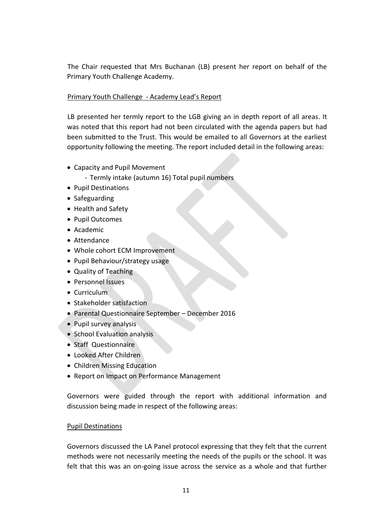The Chair requested that Mrs Buchanan (LB) present her report on behalf of the Primary Youth Challenge Academy.

# Primary Youth Challenge - Academy Lead's Report

LB presented her termly report to the LGB giving an in depth report of all areas. It was noted that this report had not been circulated with the agenda papers but had been submitted to the Trust. This would be emailed to all Governors at the earliest opportunity following the meeting. The report included detail in the following areas:

- Capacity and Pupil Movement
	- Termly intake (autumn 16) Total pupil numbers
- Pupil Destinations
- Safeguarding
- Health and Safety
- Pupil Outcomes
- Academic
- Attendance
- Whole cohort ECM Improvement
- Pupil Behaviour/strategy usage
- Quality of Teaching
- Personnel Issues
- Curriculum
- Stakeholder satisfaction
- Parental Questionnaire September December 2016
- Pupil survey analysis
- School Evaluation analysis
- Staff Questionnaire
- Looked After Children
- Children Missing Education
- Report on Impact on Performance Management

Governors were guided through the report with additional information and discussion being made in respect of the following areas:

# Pupil Destinations

Governors discussed the LA Panel protocol expressing that they felt that the current methods were not necessarily meeting the needs of the pupils or the school. It was felt that this was an on-going issue across the service as a whole and that further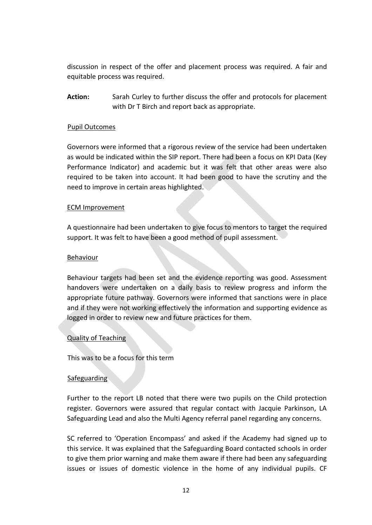discussion in respect of the offer and placement process was required. A fair and equitable process was required.

**Action:** Sarah Curley to further discuss the offer and protocols for placement with Dr T Birch and report back as appropriate.

### Pupil Outcomes

Governors were informed that a rigorous review of the service had been undertaken as would be indicated within the SIP report. There had been a focus on KPI Data (Key Performance Indicator) and academic but it was felt that other areas were also required to be taken into account. It had been good to have the scrutiny and the need to improve in certain areas highlighted.

### ECM Improvement

A questionnaire had been undertaken to give focus to mentors to target the required support. It was felt to have been a good method of pupil assessment.

#### Behaviour

Behaviour targets had been set and the evidence reporting was good. Assessment handovers were undertaken on a daily basis to review progress and inform the appropriate future pathway. Governors were informed that sanctions were in place and if they were not working effectively the information and supporting evidence as logged in order to review new and future practices for them.

### Quality of Teaching

This was to be a focus for this term

### **Safeguarding**

Further to the report LB noted that there were two pupils on the Child protection register. Governors were assured that regular contact with Jacquie Parkinson, LA Safeguarding Lead and also the Multi Agency referral panel regarding any concerns.

SC referred to 'Operation Encompass' and asked if the Academy had signed up to this service. It was explained that the Safeguarding Board contacted schools in order to give them prior warning and make them aware if there had been any safeguarding issues or issues of domestic violence in the home of any individual pupils. CF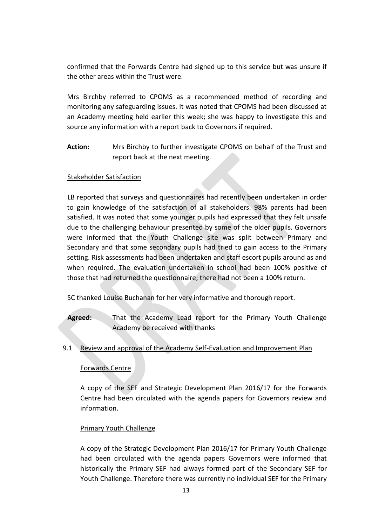confirmed that the Forwards Centre had signed up to this service but was unsure if the other areas within the Trust were.

Mrs Birchby referred to CPOMS as a recommended method of recording and monitoring any safeguarding issues. It was noted that CPOMS had been discussed at an Academy meeting held earlier this week; she was happy to investigate this and source any information with a report back to Governors if required.

**Action:** Mrs Birchby to further investigate CPOMS on behalf of the Trust and report back at the next meeting.

# Stakeholder Satisfaction

LB reported that surveys and questionnaires had recently been undertaken in order to gain knowledge of the satisfaction of all stakeholders. 98% parents had been satisfied. It was noted that some younger pupils had expressed that they felt unsafe due to the challenging behaviour presented by some of the older pupils. Governors were informed that the Youth Challenge site was split between Primary and Secondary and that some secondary pupils had tried to gain access to the Primary setting. Risk assessments had been undertaken and staff escort pupils around as and when required. The evaluation undertaken in school had been 100% positive of those that had returned the questionnaire; there had not been a 100% return.

SC thanked Louise Buchanan for her very informative and thorough report.

**Agreed:** That the Academy Lead report for the Primary Youth Challenge Academy be received with thanks

### 9.1 Review and approval of the Academy Self-Evaluation and Improvement Plan

### Forwards Centre

A copy of the SEF and Strategic Development Plan 2016/17 for the Forwards Centre had been circulated with the agenda papers for Governors review and information.

### Primary Youth Challenge

A copy of the Strategic Development Plan 2016/17 for Primary Youth Challenge had been circulated with the agenda papers Governors were informed that historically the Primary SEF had always formed part of the Secondary SEF for Youth Challenge. Therefore there was currently no individual SEF for the Primary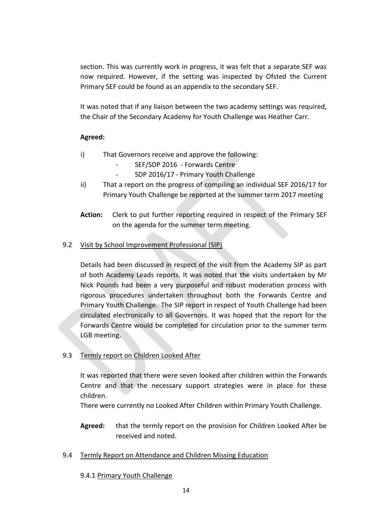section. This was currently work in progress, it was felt that a separate SEF was now required. However, if the setting was inspected by Ofsted the Current Primary SEF could be found as an appendix to the secondary SEF.

It was noted that if any liaison between the two academy settings was required, the Chair of the Secondary Academy for Youth Challenge was Heather Carr.

# **Agreed:**

- i) That Governors receive and approve the following:
	- SEF/SDP 2016 Forwards Centre
	- SDP 2016/17 Primary Youth Challenge
- ii) That a report on the progress of compiling an individual SEF 2016/17 for Primary Youth Challenge be reported at the summer term 2017 meeting
- **Action:** Clerk to put further reporting required in respect of the Primary SEF on the agenda for the summer term meeting.

# 9.2 Visit by School Improvement Professional (SIP)

Details had been discussed in respect of the visit from the Academy SIP as part of both Academy Leads reports. It was noted that the visits undertaken by Mr Nick Pounds had been a very purposeful and robust moderation process with rigorous procedures undertaken throughout both the Forwards Centre and Primary Youth Challenge. The SIP report in respect of Youth Challenge had been circulated electronically to all Governors. It was hoped that the report for the Forwards Centre would be completed for circulation prior to the summer term LGB meeting.

# 9.3 Termly report on Children Looked After

It was reported that there were seven looked after children within the Forwards Centre and that the necessary support strategies were in place for these children.

There were currently no Looked After Children within Primary Youth Challenge.

- **Agreed:** that the termly report on the provision for Children Looked After be received and noted.
- 9.4 Termly Report on Attendance and Children Missing Education
	- 9.4.1 Primary Youth Challenge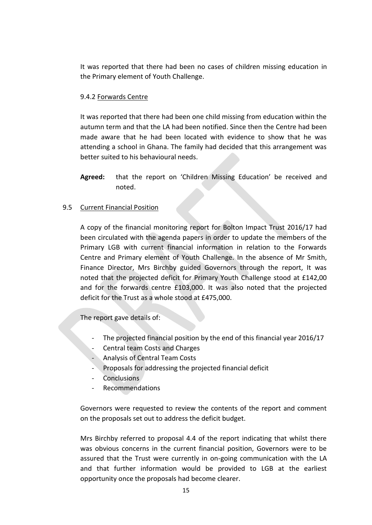It was reported that there had been no cases of children missing education in the Primary element of Youth Challenge.

### 9.4.2 Forwards Centre

It was reported that there had been one child missing from education within the autumn term and that the LA had been notified. Since then the Centre had been made aware that he had been located with evidence to show that he was attending a school in Ghana. The family had decided that this arrangement was better suited to his behavioural needs.

**Agreed:** that the report on 'Children Missing Education' be received and noted.

### 9.5 Current Financial Position

A copy of the financial monitoring report for Bolton Impact Trust 2016/17 had been circulated with the agenda papers in order to update the members of the Primary LGB with current financial information in relation to the Forwards Centre and Primary element of Youth Challenge. In the absence of Mr Smith, Finance Director, Mrs Birchby guided Governors through the report, It was noted that the projected deficit for Primary Youth Challenge stood at £142,00 and for the forwards centre £103,000. It was also noted that the projected deficit for the Trust as a whole stood at £475,000.

The report gave details of:

- The projected financial position by the end of this financial year 2016/17
- Central team Costs and Charges
- Analysis of Central Team Costs
- Proposals for addressing the projected financial deficit
- Conclusions
- Recommendations

Governors were requested to review the contents of the report and comment on the proposals set out to address the deficit budget.

Mrs Birchby referred to proposal 4.4 of the report indicating that whilst there was obvious concerns in the current financial position, Governors were to be assured that the Trust were currently in on-going communication with the LA and that further information would be provided to LGB at the earliest opportunity once the proposals had become clearer.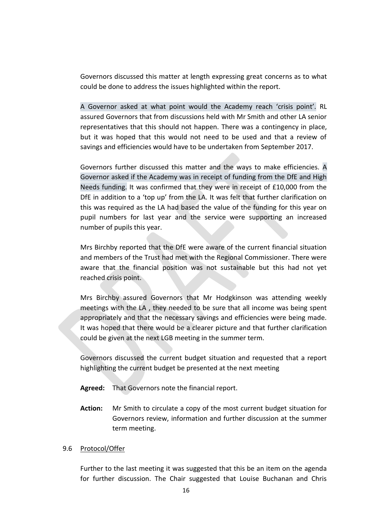Governors discussed this matter at length expressing great concerns as to what could be done to address the issues highlighted within the report.

A Governor asked at what point would the Academy reach 'crisis point'. RL assured Governors that from discussions held with Mr Smith and other LA senior representatives that this should not happen. There was a contingency in place, but it was hoped that this would not need to be used and that a review of savings and efficiencies would have to be undertaken from September 2017.

Governors further discussed this matter and the ways to make efficiencies. A Governor asked if the Academy was in receipt of funding from the DfE and High Needs funding. It was confirmed that they were in receipt of £10,000 from the DfE in addition to a 'top up' from the LA. It was felt that further clarification on this was required as the LA had based the value of the funding for this year on pupil numbers for last year and the service were supporting an increased number of pupils this year.

Mrs Birchby reported that the DfE were aware of the current financial situation and members of the Trust had met with the Regional Commissioner. There were aware that the financial position was not sustainable but this had not yet reached crisis point.

Mrs Birchby assured Governors that Mr Hodgkinson was attending weekly meetings with the LA , they needed to be sure that all income was being spent appropriately and that the necessary savings and efficiencies were being made. It was hoped that there would be a clearer picture and that further clarification could be given at the next LGB meeting in the summer term.

Governors discussed the current budget situation and requested that a report highlighting the current budget be presented at the next meeting

- **Agreed:** That Governors note the financial report.
- **Action:** Mr Smith to circulate a copy of the most current budget situation for Governors review, information and further discussion at the summer term meeting.

#### 9.6 Protocol/Offer

Further to the last meeting it was suggested that this be an item on the agenda for further discussion. The Chair suggested that Louise Buchanan and Chris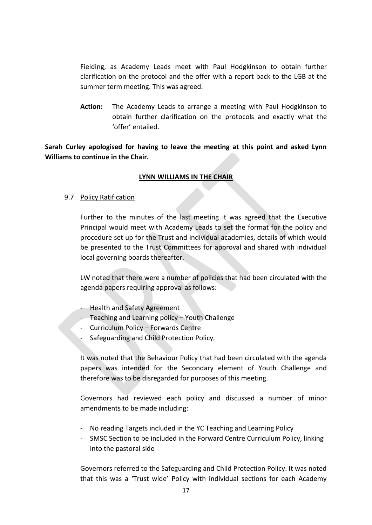Fielding, as Academy Leads meet with Paul Hodgkinson to obtain further clarification on the protocol and the offer with a report back to the LGB at the summer term meeting. This was agreed.

**Action:** The Academy Leads to arrange a meeting with Paul Hodgkinson to obtain further clarification on the protocols and exactly what the 'offer' entailed.

**Sarah Curley apologised for having to leave the meeting at this point and asked Lynn Williams to continue in the Chair.**

# **LYNN WILLIAMS IN THE CHAIR**

9.7 Policy Ratification

Further to the minutes of the last meeting it was agreed that the Executive Principal would meet with Academy Leads to set the format for the policy and procedure set up for the Trust and individual academies, details of which would be presented to the Trust Committees for approval and shared with individual local governing boards thereafter.

LW noted that there were a number of policies that had been circulated with the agenda papers requiring approval as follows:

- Health and Safety Agreement
- Teaching and Learning policy Youth Challenge
- Curriculum Policy Forwards Centre
- Safeguarding and Child Protection Policy.

It was noted that the Behaviour Policy that had been circulated with the agenda papers was intended for the Secondary element of Youth Challenge and therefore was to be disregarded for purposes of this meeting.

Governors had reviewed each policy and discussed a number of minor amendments to be made including:

- No reading Targets included in the YC Teaching and Learning Policy
- SMSC Section to be included in the Forward Centre Curriculum Policy, linking into the pastoral side

Governors referred to the Safeguarding and Child Protection Policy. It was noted that this was a 'Trust wide' Policy with individual sections for each Academy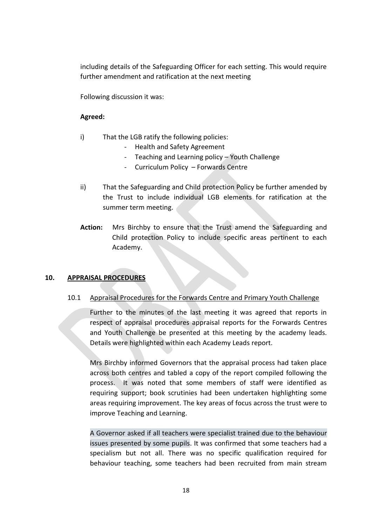including details of the Safeguarding Officer for each setting. This would require further amendment and ratification at the next meeting

Following discussion it was:

### **Agreed:**

- i) That the LGB ratify the following policies:
	- Health and Safety Agreement
	- Teaching and Learning policy Youth Challenge
	- Curriculum Policy Forwards Centre
- ii) That the Safeguarding and Child protection Policy be further amended by the Trust to include individual LGB elements for ratification at the summer term meeting.
- **Action:** Mrs Birchby to ensure that the Trust amend the Safeguarding and Child protection Policy to include specific areas pertinent to each Academy.

### **10. APPRAISAL PROCEDURES**

### 10.1 Appraisal Procedures for the Forwards Centre and Primary Youth Challenge

Further to the minutes of the last meeting it was agreed that reports in respect of appraisal procedures appraisal reports for the Forwards Centres and Youth Challenge be presented at this meeting by the academy leads. Details were highlighted within each Academy Leads report.

Mrs Birchby informed Governors that the appraisal process had taken place across both centres and tabled a copy of the report compiled following the process. It was noted that some members of staff were identified as requiring support; book scrutinies had been undertaken highlighting some areas requiring improvement. The key areas of focus across the trust were to improve Teaching and Learning.

A Governor asked if all teachers were specialist trained due to the behaviour issues presented by some pupils. It was confirmed that some teachers had a specialism but not all. There was no specific qualification required for behaviour teaching, some teachers had been recruited from main stream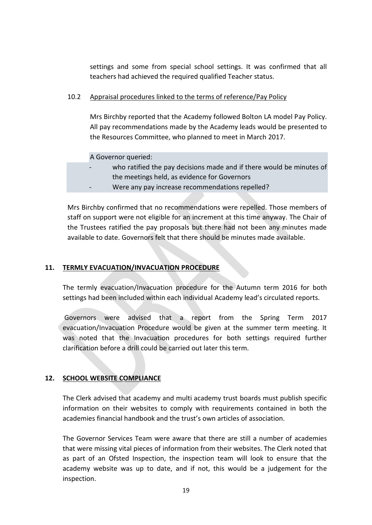settings and some from special school settings. It was confirmed that all teachers had achieved the required qualified Teacher status.

### 10.2 Appraisal procedures linked to the terms of reference/Pay Policy

Mrs Birchby reported that the Academy followed Bolton LA model Pay Policy. All pay recommendations made by the Academy leads would be presented to the Resources Committee, who planned to meet in March 2017.

A Governor queried:

- who ratified the pay decisions made and if there would be minutes of the meetings held, as evidence for Governors
- Were any pay increase recommendations repelled?

Mrs Birchby confirmed that no recommendations were repelled. Those members of staff on support were not eligible for an increment at this time anyway. The Chair of the Trustees ratified the pay proposals but there had not been any minutes made available to date. Governors felt that there should be minutes made available.

# **11. TERMLY EVACUATION/INVACUATION PROCEDURE**

The termly evacuation/Invacuation procedure for the Autumn term 2016 for both settings had been included within each individual Academy lead's circulated reports.

Governors were advised that a report from the Spring Term 2017 evacuation/Invacuation Procedure would be given at the summer term meeting. It was noted that the Invacuation procedures for both settings required further clarification before a drill could be carried out later this term.

# **12. SCHOOL WEBSITE COMPLIANCE**

The Clerk advised that academy and multi academy trust boards must publish specific information on their websites to comply with requirements contained in both the academies financial handbook and the trust's own articles of association.

The Governor Services Team were aware that there are still a number of academies that were missing vital pieces of information from their websites. The Clerk noted that as part of an Ofsted Inspection, the inspection team will look to ensure that the academy website was up to date, and if not, this would be a judgement for the inspection.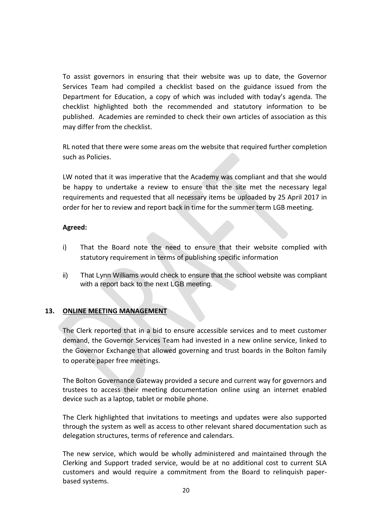To assist governors in ensuring that their website was up to date, the Governor Services Team had compiled a checklist based on the guidance issued from the Department for Education, a copy of which was included with today's agenda. The checklist highlighted both the recommended and statutory information to be published. Academies are reminded to check their own articles of association as this may differ from the checklist.

RL noted that there were some areas om the website that required further completion such as Policies.

LW noted that it was imperative that the Academy was compliant and that she would be happy to undertake a review to ensure that the site met the necessary legal requirements and requested that all necessary items be uploaded by 25 April 2017 in order for her to review and report back in time for the summer term LGB meeting.

# **Agreed:**

- i) That the Board note the need to ensure that their website complied with statutory requirement in terms of publishing specific information
- ii) That Lynn Williams would check to ensure that the school website was compliant with a report back to the next LGB meeting.

# **13. ONLINE MEETING MANAGEMENT**

The Clerk reported that in a bid to ensure accessible services and to meet customer demand, the Governor Services Team had invested in a new online service, linked to the Governor Exchange that allowed governing and trust boards in the Bolton family to operate paper free meetings.

The Bolton Governance Gateway provided a secure and current way for governors and trustees to access their meeting documentation online using an internet enabled device such as a laptop, tablet or mobile phone.

The Clerk highlighted that invitations to meetings and updates were also supported through the system as well as access to other relevant shared documentation such as delegation structures, terms of reference and calendars.

The new service, which would be wholly administered and maintained through the Clerking and Support traded service, would be at no additional cost to current SLA customers and would require a commitment from the Board to relinquish paperbased systems.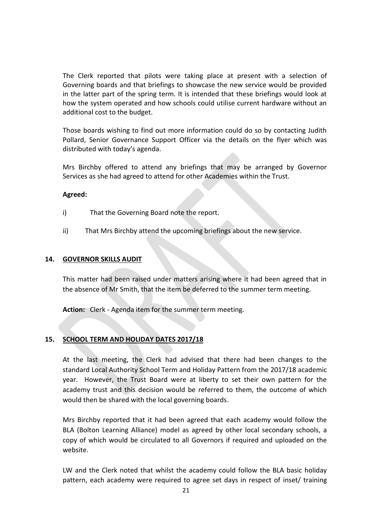The Clerk reported that pilots were taking place at present with a selection of Governing boards and that briefings to showcase the new service would be provided in the latter part of the spring term. It is intended that these briefings would look at how the system operated and how schools could utilise current hardware without an additional cost to the budget.

Those boards wishing to find out more information could do so by contacting Judith Pollard, Senior Governance Support Officer via the details on the flyer which was distributed with today's agenda.

Mrs Birchby offered to attend any briefings that may be arranged by Governor Services as she had agreed to attend for other Academies within the Trust.

### **Agreed:**

- i) That the Governing Board note the report.
- ii) That Mrs Birchby attend the upcoming briefings about the new service.

### **14. GOVERNOR SKILLS AUDIT**

This matter had been raised under matters arising where it had been agreed that in the absence of Mr Smith, that the item be deferred to the summer term meeting.

**Action:** Clerk - Agenda item for the summer term meeting.

# **15. SCHOOL TERM AND HOLIDAY DATES 2017/18**

At the last meeting, the Clerk had advised that there had been changes to the standard Local Authority School Term and Holiday Pattern from the 2017/18 academic year. However, the Trust Board were at liberty to set their own pattern for the academy trust and this decision would be referred to them, the outcome of which would then be shared with the local governing boards.

Mrs Birchby reported that it had been agreed that each academy would follow the BLA (Bolton Learning Alliance) model as agreed by other local secondary schools, a copy of which would be circulated to all Governors if required and uploaded on the website.

LW and the Clerk noted that whilst the academy could follow the BLA basic holiday pattern, each academy were required to agree set days in respect of inset/ training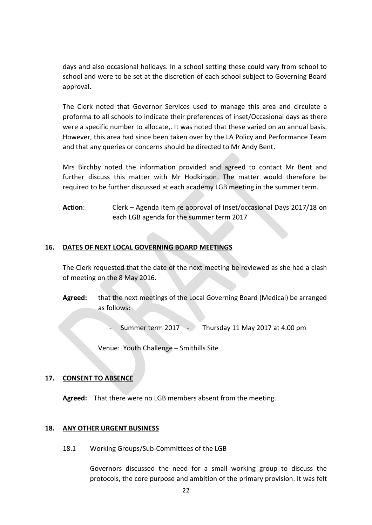days and also occasional holidays. In a school setting these could vary from school to school and were to be set at the discretion of each school subject to Governing Board approval.

The Clerk noted that Governor Services used to manage this area and circulate a proforma to all schools to indicate their preferences of inset/Occasional days as there were a specific number to allocate,. It was noted that these varied on an annual basis. However, this area had since been taken over by the LA Policy and Performance Team and that any queries or concerns should be directed to Mr Andy Bent.

Mrs Birchby noted the information provided and agreed to contact Mr Bent and further discuss this matter with Mr Hodkinson. The matter would therefore be required to be further discussed at each academy LGB meeting in the summer term.

**Action**: Clerk – Agenda item re approval of Inset/occasional Days 2017/18 on each LGB agenda for the summer term 2017

# **16. DATES OF NEXT LOCAL GOVERNING BOARD MEETINGS**

The Clerk requested that the date of the next meeting be reviewed as she had a clash of meeting on the 8 May 2016.

**Agreed:** that the next meetings of the Local Governing Board (Medical) be arranged as follows:

Summer term  $2017 - 7$  Thursday 11 May 2017 at 4.00 pm

Venue: Youth Challenge – Smithills Site

# **17. CONSENT TO ABSENCE**

**Agreed:** That there were no LGB members absent from the meeting.

# **18. ANY OTHER URGENT BUSINESS**

18.1 Working Groups/Sub-Committees of the LGB

Governors discussed the need for a small working group to discuss the protocols, the core purpose and ambition of the primary provision. It was felt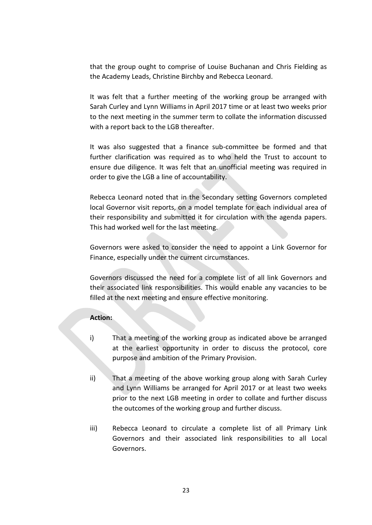that the group ought to comprise of Louise Buchanan and Chris Fielding as the Academy Leads, Christine Birchby and Rebecca Leonard.

It was felt that a further meeting of the working group be arranged with Sarah Curley and Lynn Williams in April 2017 time or at least two weeks prior to the next meeting in the summer term to collate the information discussed with a report back to the LGB thereafter.

It was also suggested that a finance sub-committee be formed and that further clarification was required as to who held the Trust to account to ensure due diligence. It was felt that an unofficial meeting was required in order to give the LGB a line of accountability.

Rebecca Leonard noted that in the Secondary setting Governors completed local Governor visit reports, on a model template for each individual area of their responsibility and submitted it for circulation with the agenda papers. This had worked well for the last meeting.

Governors were asked to consider the need to appoint a Link Governor for Finance, especially under the current circumstances.

Governors discussed the need for a complete list of all link Governors and their associated link responsibilities. This would enable any vacancies to be filled at the next meeting and ensure effective monitoring.

### **Action:**

- i) That a meeting of the working group as indicated above be arranged at the earliest opportunity in order to discuss the protocol, core purpose and ambition of the Primary Provision.
- ii) That a meeting of the above working group along with Sarah Curley and Lynn Williams be arranged for April 2017 or at least two weeks prior to the next LGB meeting in order to collate and further discuss the outcomes of the working group and further discuss.
- iii) Rebecca Leonard to circulate a complete list of all Primary Link Governors and their associated link responsibilities to all Local Governors.